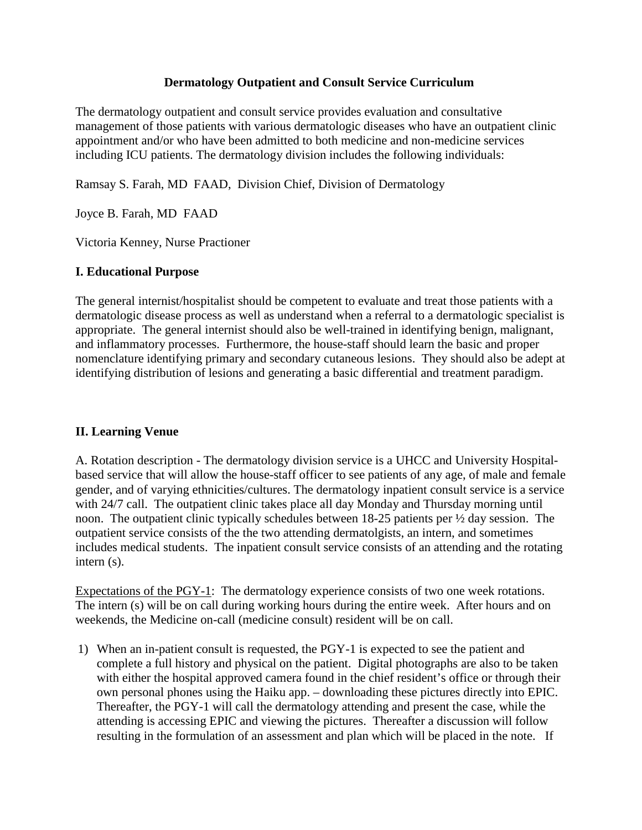#### **Dermatology Outpatient and Consult Service Curriculum**

The dermatology outpatient and consult service provides evaluation and consultative management of those patients with various dermatologic diseases who have an outpatient clinic appointment and/or who have been admitted to both medicine and non-medicine services including ICU patients. The dermatology division includes the following individuals:

Ramsay S. Farah, MD FAAD, Division Chief, Division of Dermatology

Joyce B. Farah, MD FAAD

Victoria Kenney, Nurse Practioner

### **I. Educational Purpose**

The general internist/hospitalist should be competent to evaluate and treat those patients with a dermatologic disease process as well as understand when a referral to a dermatologic specialist is appropriate. The general internist should also be well-trained in identifying benign, malignant, and inflammatory processes. Furthermore, the house-staff should learn the basic and proper nomenclature identifying primary and secondary cutaneous lesions. They should also be adept at identifying distribution of lesions and generating a basic differential and treatment paradigm.

## **II. Learning Venue**

A. Rotation description - The dermatology division service is a UHCC and University Hospitalbased service that will allow the house-staff officer to see patients of any age, of male and female gender, and of varying ethnicities/cultures. The dermatology inpatient consult service is a service with 24/7 call. The outpatient clinic takes place all day Monday and Thursday morning until noon. The outpatient clinic typically schedules between 18-25 patients per ½ day session. The outpatient service consists of the the two attending dermatolgists, an intern, and sometimes includes medical students. The inpatient consult service consists of an attending and the rotating intern (s).

Expectations of the PGY-1: The dermatology experience consists of two one week rotations. The intern (s) will be on call during working hours during the entire week. After hours and on weekends, the Medicine on-call (medicine consult) resident will be on call.

1) When an in-patient consult is requested, the PGY-1 is expected to see the patient and complete a full history and physical on the patient. Digital photographs are also to be taken with either the hospital approved camera found in the chief resident's office or through their own personal phones using the Haiku app. – downloading these pictures directly into EPIC. Thereafter, the PGY-1 will call the dermatology attending and present the case, while the attending is accessing EPIC and viewing the pictures. Thereafter a discussion will follow resulting in the formulation of an assessment and plan which will be placed in the note. If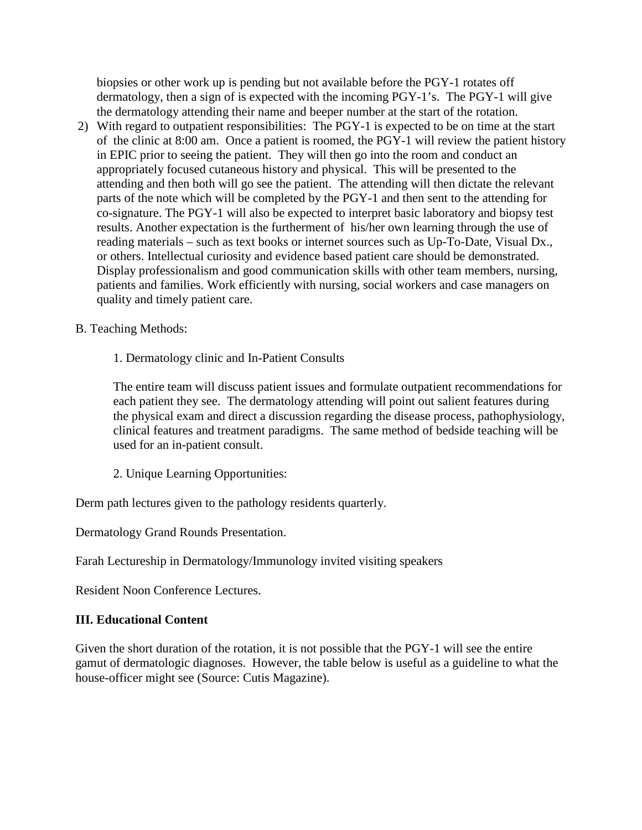biopsies or other work up is pending but not available before the PGY-1 rotates off dermatology, then a sign of is expected with the incoming PGY-1's. The PGY-1 will give the dermatology attending their name and beeper number at the start of the rotation.

- 2) With regard to outpatient responsibilities: The PGY-1 is expected to be on time at the start of the clinic at 8:00 am. Once a patient is roomed, the PGY-1 will review the patient history in EPIC prior to seeing the patient. They will then go into the room and conduct an appropriately focused cutaneous history and physical. This will be presented to the attending and then both will go see the patient. The attending will then dictate the relevant parts of the note which will be completed by the PGY-1 and then sent to the attending for co-signature. The PGY-1 will also be expected to interpret basic laboratory and biopsy test results. Another expectation is the furtherment of his/her own learning through the use of reading materials – such as text books or internet sources such as Up-To-Date, Visual Dx., or others. Intellectual curiosity and evidence based patient care should be demonstrated. Display professionalism and good communication skills with other team members, nursing, patients and families. Work efficiently with nursing, social workers and case managers on quality and timely patient care.
- B. Teaching Methods:
	- 1. Dermatology clinic and In-Patient Consults

The entire team will discuss patient issues and formulate outpatient recommendations for each patient they see. The dermatology attending will point out salient features during the physical exam and direct a discussion regarding the disease process, pathophysiology, clinical features and treatment paradigms. The same method of bedside teaching will be used for an in-patient consult.

2. Unique Learning Opportunities:

Derm path lectures given to the pathology residents quarterly.

Dermatology Grand Rounds Presentation.

Farah Lectureship in Dermatology/Immunology invited visiting speakers

Resident Noon Conference Lectures.

## **III. Educational Content**

Given the short duration of the rotation, it is not possible that the PGY-1 will see the entire gamut of dermatologic diagnoses. However, the table below is useful as a guideline to what the house-officer might see (Source: Cutis Magazine).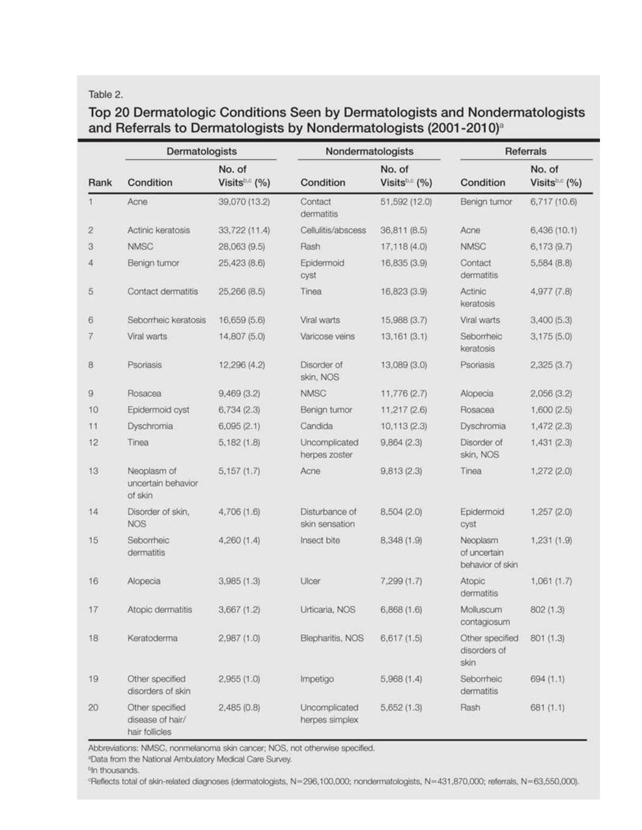#### Table 2.

# Top 20 Dermatologic Conditions Seen by Dermatologists and Nondermatologists and Referrals to Dermatologists by Nondermatologists (2001-2010)<sup>a</sup>

| Rank | Dermatologists                                        |                                       | Nondermatologists                |                                       | Referrals                                    |                                     |
|------|-------------------------------------------------------|---------------------------------------|----------------------------------|---------------------------------------|----------------------------------------------|-------------------------------------|
|      | Condition                                             | No. of<br>Visits <sup>b.c</sup> $(%)$ | Condition                        | No. of<br>Visits <sup>b.c</sup> $(%)$ | Condition                                    | No. of<br>Visits <sup>b.c</sup> (%) |
| 1.   | Acne                                                  | 39,070 (13.2)                         | Contact<br>dermatitis            | 51,592 (12.0)                         | Benign tumor                                 | 6,717 (10.6)                        |
| 2    | Actinic keratosis                                     | 33,722 (11.4)                         | Cellulitis/abscess               | 36,811 (8.5)                          | Acne                                         | 6,436(10.1)                         |
| 3    | <b>NMSC</b>                                           | 28,063 (9.5)                          | Rash                             | 17,118 (4.0)                          | <b>NMSC</b>                                  | 6,173(9.7)                          |
| 4    | Benign tumor                                          | 25,423 (8.6)                          | Epidermoid<br>cyst               | 16,835 (3.9)                          | Contact<br>dermatitis                        | 5,584(8.8)                          |
| 5    | Contact dermatitis                                    | 25,266 (8.5)                          | Tinea                            | 16,823 (3.9)                          | Actinic<br>keratosis                         | 4,977 (7.8)                         |
| 6    | Seborrheic keratosis                                  | 16,659 (5.6)                          | Viral warts                      | 15,988 (3.7)                          | Viral warts                                  | 3,400(5.3)                          |
| 7    | Viral warts                                           | 14,807 (5.0)                          | Varicose veins                   | 13, 161 (3.1)                         | Seborrheic<br>keratosis                      | 3,175(5.0)                          |
| 8    | Psoriasis                                             | 12,296 (4.2)                          | Disorder of<br>skin, NOS         | 13,089 (3.0)                          | Psoriasis                                    | 2,325(3.7)                          |
| 9    | Rosacea                                               | 9,469(3.2)                            | <b>NMSC</b>                      | 11,776 (2.7)                          | Alopecia                                     | 2,056(3.2)                          |
| 10   | Epidermoid cyst                                       | 6,734(2.3)                            | Benign tumor                     | 11,217 (2.6)                          | Rosacea                                      | 1,600(2.5)                          |
| 11   | Dyschromia                                            | 6,095(2.1)                            | Candida                          | 10, 113(2.3)                          | Dyschromia                                   | 1,472(2.3)                          |
| 12   | Tinea                                                 | 5,182(1.8)                            | Uncomplicated<br>herpes zoster   | 9,864(2.3)                            | Disorder of<br>skin, NOS                     | 1,431(2.3)                          |
| 13   | Neoplasm of<br>uncertain behavior<br>of skin          | 5,157(1.7)                            | Acne                             | 9,813(2.3)                            | Tinea                                        | 1,272 (2.0)                         |
| 14   | Disorder of skin,<br><b>NOS</b>                       | 4,706 (1.6)                           | Disturbance of<br>skin sensation | 8,504 (2.0)                           | Epidermoid<br>cyst                           | 1,257 (2.0)                         |
| 15   | Seborrheic<br>dermatitis                              | 4,260 (1.4)                           | Insect bite                      | 8,348 (1.9)                           | Neoplasm<br>of uncertain<br>behavior of skin | 1,231 (1.9)                         |
| 16   | Alopecia                                              | 3,985(1.3)                            | Ulcer                            | 7,299(1.7)                            | Atopic<br>dermatitis                         | 1,061(1.7)                          |
| 17   | Atopic dermatitis                                     | 3,667(1.2)                            | Urticaria, NOS                   | 6,868(1.6)                            | Molluscum<br>contagiosum                     | 802(1.3)                            |
| 18   | Keratoderma                                           | 2,987(1.0)                            | Blepharitis, NOS                 | 6,617(1.5)                            | Other specified<br>disorders of<br>skin      | 801 (1.3)                           |
| 19   | Other specified<br>disorders of skin                  | 2,955(1.0)                            | Impetigo                         | 5,968(1.4)                            | Seborrheic<br>dermatitis                     | 694(1.1)                            |
| 20   | Other specified<br>disease of hair/<br>hair follicles | 2,485(0.8)                            | Uncomplicated<br>herpes simplex  | 5,652 (1.3)                           | Rash                                         | 681(1.1)                            |

Abbreviations: NMSC, nonmelanoma skin cancer; NOS, not otherwise specified.

"Data from the National Ambulatory Medical Care Survey.

<sup>b</sup>In thousands.

'Reflects total of skin-related diagnoses (dermatologists, N=296,100,000; nondermatologists, N=431,870,000; referrals, N=63,550,000).